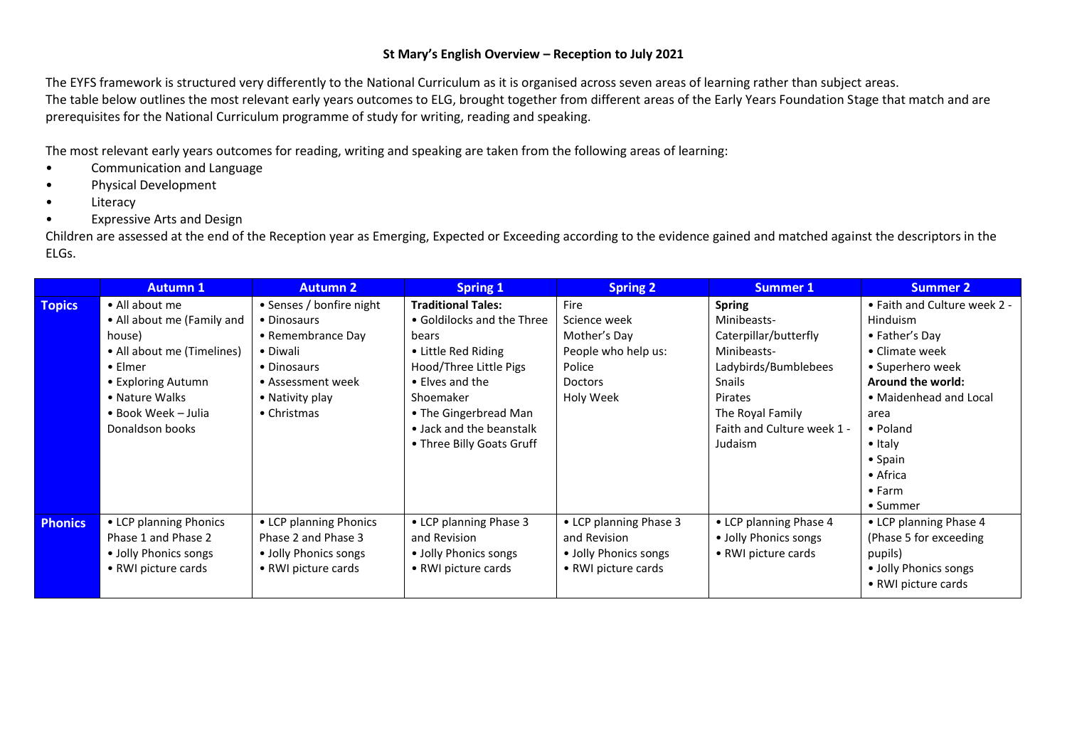## **St Mary's English Overview – Reception to July 2021**

The EYFS framework is structured very differently to the National Curriculum as it is organised across seven areas of learning rather than subject areas. The table below outlines the most relevant early years outcomes to ELG, brought together from different areas of the Early Years Foundation Stage that match and are prerequisites for the National Curriculum programme of study for writing, reading and speaking.

The most relevant early years outcomes for reading, writing and speaking are taken from the following areas of learning:

- Communication and Language
- Physical Development
- Literacy
- Expressive Arts and Design

Children are assessed at the end of the Reception year as Emerging, Expected or Exceeding according to the evidence gained and matched against the descriptors in the ELGs.

|                | <b>Autumn 1</b>            | <b>Autumn 2</b>          | <b>Spring 1</b>            | <b>Spring 2</b>        | Summer 1                   | <b>Summer 2</b>              |
|----------------|----------------------------|--------------------------|----------------------------|------------------------|----------------------------|------------------------------|
| <b>Topics</b>  | • All about me             | • Senses / bonfire night | <b>Traditional Tales:</b>  | Fire                   | <b>Spring</b>              | • Faith and Culture week 2 - |
|                | • All about me (Family and | • Dinosaurs              | • Goldilocks and the Three | Science week           | Minibeasts-                | <b>Hinduism</b>              |
|                | house)                     | • Remembrance Day        | bears                      | Mother's Day           | Caterpillar/butterfly      | • Father's Day               |
|                | • All about me (Timelines) | • Diwali                 | • Little Red Riding        | People who help us:    | Minibeasts-                | • Climate week               |
|                | $\bullet$ Elmer            | • Dinosaurs              | Hood/Three Little Pigs     | Police                 | Ladybirds/Bumblebees       | • Superhero week             |
|                | • Exploring Autumn         | • Assessment week        | • Elves and the            | <b>Doctors</b>         | Snails                     | <b>Around the world:</b>     |
|                | • Nature Walks             | • Nativity play          | Shoemaker                  | Holy Week              | Pirates                    | • Maidenhead and Local       |
|                | • Book Week - Julia        | $\bullet$ Christmas      | • The Gingerbread Man      |                        | The Royal Family           | area                         |
|                | Donaldson books            |                          | • Jack and the beanstalk   |                        | Faith and Culture week 1 - | • Poland                     |
|                |                            |                          | • Three Billy Goats Gruff  |                        | Judaism                    | $\bullet$ Italy              |
|                |                            |                          |                            |                        |                            | $\bullet$ Spain              |
|                |                            |                          |                            |                        |                            | $\bullet$ Africa             |
|                |                            |                          |                            |                        |                            | $\bullet$ Farm               |
|                |                            |                          |                            |                        |                            | • Summer                     |
| <b>Phonics</b> | • LCP planning Phonics     | • LCP planning Phonics   | • LCP planning Phase 3     | • LCP planning Phase 3 | • LCP planning Phase 4     | • LCP planning Phase 4       |
|                | Phase 1 and Phase 2        | Phase 2 and Phase 3      | and Revision               | and Revision           | • Jolly Phonics songs      | (Phase 5 for exceeding)      |
|                | • Jolly Phonics songs      | • Jolly Phonics songs    | • Jolly Phonics songs      | • Jolly Phonics songs  | • RWI picture cards        | pupils)                      |
|                | • RWI picture cards        | • RWI picture cards      | • RWI picture cards        | • RWI picture cards    |                            | · Jolly Phonics songs        |
|                |                            |                          |                            |                        |                            | • RWI picture cards          |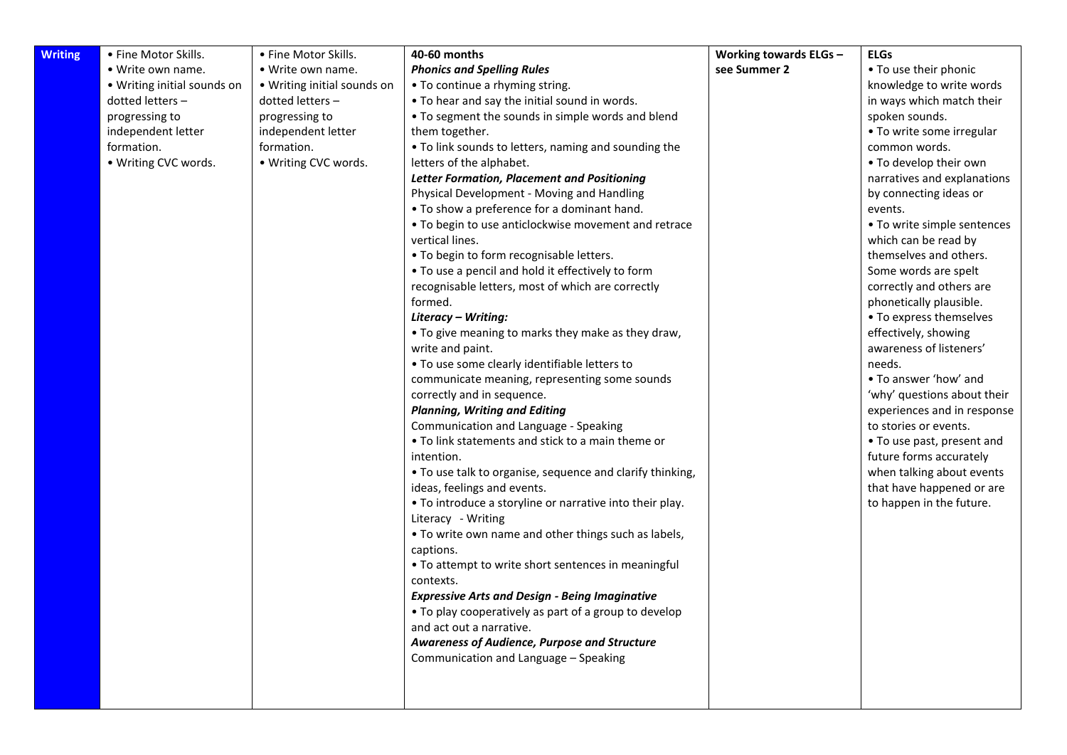| <b>Writing</b> | • Fine Motor Skills.        | • Fine Motor Skills.        | 40-60 months                                                      | Working towards ELGs - | <b>ELGs</b>                       |
|----------------|-----------------------------|-----------------------------|-------------------------------------------------------------------|------------------------|-----------------------------------|
|                | • Write own name.           | • Write own name.           | <b>Phonics and Spelling Rules</b>                                 | see Summer 2           | • To use their phonic             |
|                | • Writing initial sounds on | • Writing initial sounds on | • To continue a rhyming string.                                   |                        | knowledge to write words          |
|                | dotted letters -            | dotted letters -            | • To hear and say the initial sound in words.                     |                        | in ways which match their         |
|                | progressing to              | progressing to              | • To segment the sounds in simple words and blend                 |                        | spoken sounds.                    |
|                | independent letter          | independent letter          | them together.                                                    |                        | • To write some irregular         |
|                | formation.                  | formation.                  | • To link sounds to letters, naming and sounding the              |                        | common words.                     |
|                | • Writing CVC words.        | • Writing CVC words.        | letters of the alphabet.                                          |                        | • To develop their own            |
|                |                             |                             | <b>Letter Formation, Placement and Positioning</b>                |                        | narratives and explanations       |
|                |                             |                             | Physical Development - Moving and Handling                        |                        | by connecting ideas or            |
|                |                             |                             | . To show a preference for a dominant hand.                       |                        | events.                           |
|                |                             |                             | . To begin to use anticlockwise movement and retrace              |                        | • To write simple sentences       |
|                |                             |                             | vertical lines.                                                   |                        | which can be read by              |
|                |                             |                             | . To begin to form recognisable letters.                          |                        | themselves and others.            |
|                |                             |                             | • To use a pencil and hold it effectively to form                 |                        | Some words are spelt              |
|                |                             |                             | recognisable letters, most of which are correctly                 |                        | correctly and others are          |
|                |                             |                             | formed.                                                           |                        | phonetically plausible.           |
|                |                             |                             | Literacy - Writing:                                               |                        | • To express themselves           |
|                |                             |                             | • To give meaning to marks they make as they draw,                |                        | effectively, showing              |
|                |                             |                             | write and paint.<br>. To use some clearly identifiable letters to |                        | awareness of listeners'<br>needs. |
|                |                             |                             | communicate meaning, representing some sounds                     |                        | • To answer 'how' and             |
|                |                             |                             | correctly and in sequence.                                        |                        | 'why' questions about their       |
|                |                             |                             | <b>Planning, Writing and Editing</b>                              |                        | experiences and in response       |
|                |                             |                             | Communication and Language - Speaking                             |                        | to stories or events.             |
|                |                             |                             | • To link statements and stick to a main theme or                 |                        | • To use past, present and        |
|                |                             |                             | intention.                                                        |                        | future forms accurately           |
|                |                             |                             | . To use talk to organise, sequence and clarify thinking,         |                        | when talking about events         |
|                |                             |                             | ideas, feelings and events.                                       |                        | that have happened or are         |
|                |                             |                             | • To introduce a storyline or narrative into their play.          |                        | to happen in the future.          |
|                |                             |                             | Literacy - Writing                                                |                        |                                   |
|                |                             |                             | • To write own name and other things such as labels,              |                        |                                   |
|                |                             |                             | captions.                                                         |                        |                                   |
|                |                             |                             | • To attempt to write short sentences in meaningful               |                        |                                   |
|                |                             |                             | contexts.                                                         |                        |                                   |
|                |                             |                             | <b>Expressive Arts and Design - Being Imaginative</b>             |                        |                                   |
|                |                             |                             | . To play cooperatively as part of a group to develop             |                        |                                   |
|                |                             |                             | and act out a narrative.                                          |                        |                                   |
|                |                             |                             | Awareness of Audience, Purpose and Structure                      |                        |                                   |
|                |                             |                             | Communication and Language - Speaking                             |                        |                                   |
|                |                             |                             |                                                                   |                        |                                   |
|                |                             |                             |                                                                   |                        |                                   |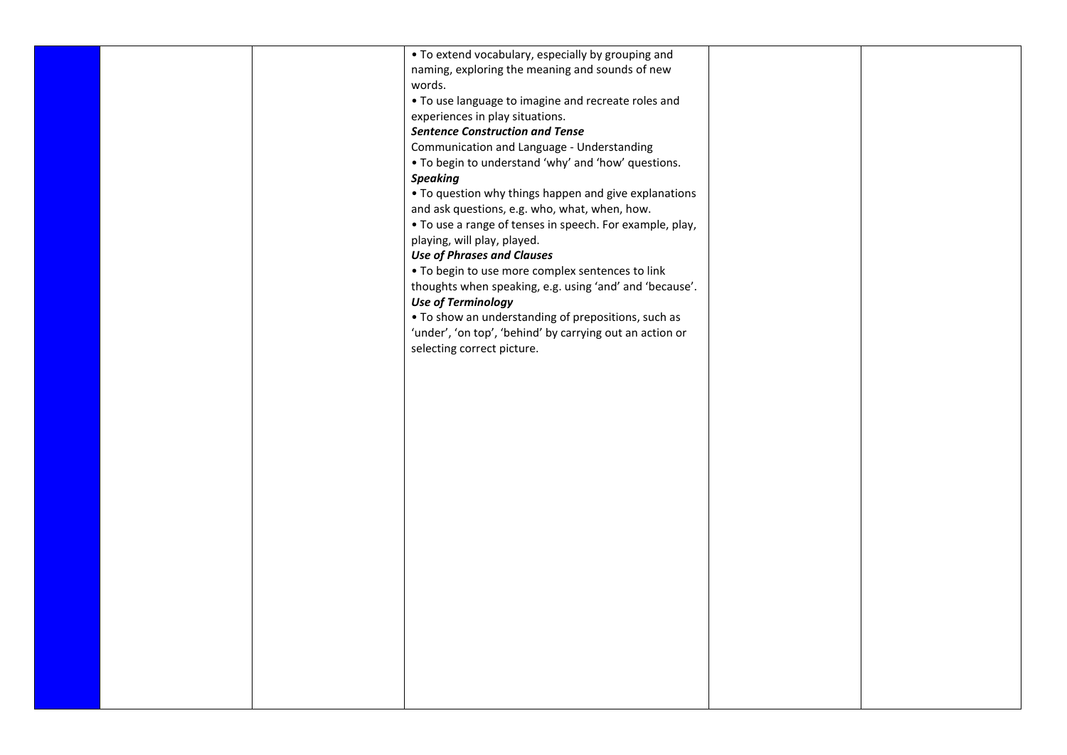| • To extend vocabulary, especially by grouping and       |  |
|----------------------------------------------------------|--|
| naming, exploring the meaning and sounds of new          |  |
| words.                                                   |  |
| . To use language to imagine and recreate roles and      |  |
| experiences in play situations.                          |  |
| <b>Sentence Construction and Tense</b>                   |  |
| Communication and Language - Understanding               |  |
| . To begin to understand 'why' and 'how' questions.      |  |
| <b>Speaking</b>                                          |  |
| • To question why things happen and give explanations    |  |
| and ask questions, e.g. who, what, when, how.            |  |
| • To use a range of tenses in speech. For example, play, |  |
| playing, will play, played.                              |  |
| <b>Use of Phrases and Clauses</b>                        |  |
| . To begin to use more complex sentences to link         |  |
| thoughts when speaking, e.g. using 'and' and 'because'.  |  |
| <b>Use of Terminology</b>                                |  |
| • To show an understanding of prepositions, such as      |  |
| 'under', 'on top', 'behind' by carrying out an action or |  |
| selecting correct picture.                               |  |
|                                                          |  |
|                                                          |  |
|                                                          |  |
|                                                          |  |
|                                                          |  |
|                                                          |  |
|                                                          |  |
|                                                          |  |
|                                                          |  |
|                                                          |  |
|                                                          |  |
|                                                          |  |
|                                                          |  |
|                                                          |  |
|                                                          |  |
|                                                          |  |
|                                                          |  |
|                                                          |  |
|                                                          |  |
|                                                          |  |
|                                                          |  |
|                                                          |  |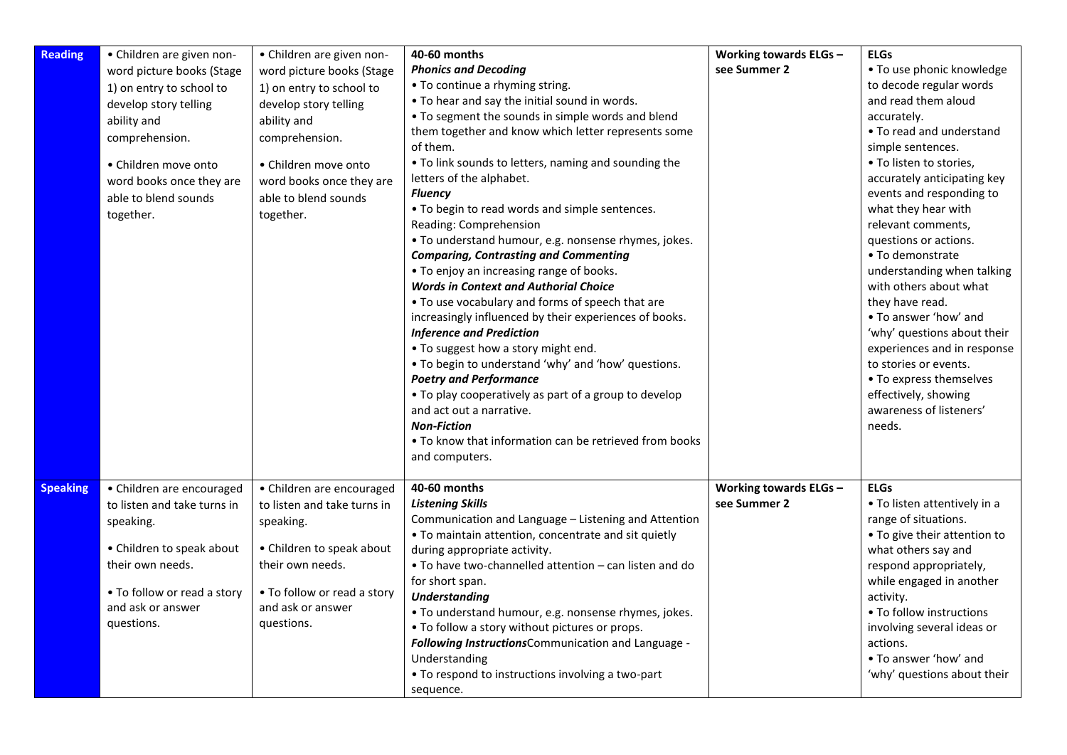| <b>Reading</b>  | • Children are given non-                                                                                                                                                                                | • Children are given non-                                                                                                                                                                                | 40-60 months                                                                                                                                                                                                                                                                                                                                                                                                                                                                                                                                                                                                                                                                                                                                                                                                                                                                                                                                                                                                                                                                                         | Working towards ELGs -                 | <b>ELGs</b>                                                                                                                                                                                                                                                                                                                                                                                                                                                                                                                                                                                                    |
|-----------------|----------------------------------------------------------------------------------------------------------------------------------------------------------------------------------------------------------|----------------------------------------------------------------------------------------------------------------------------------------------------------------------------------------------------------|------------------------------------------------------------------------------------------------------------------------------------------------------------------------------------------------------------------------------------------------------------------------------------------------------------------------------------------------------------------------------------------------------------------------------------------------------------------------------------------------------------------------------------------------------------------------------------------------------------------------------------------------------------------------------------------------------------------------------------------------------------------------------------------------------------------------------------------------------------------------------------------------------------------------------------------------------------------------------------------------------------------------------------------------------------------------------------------------------|----------------------------------------|----------------------------------------------------------------------------------------------------------------------------------------------------------------------------------------------------------------------------------------------------------------------------------------------------------------------------------------------------------------------------------------------------------------------------------------------------------------------------------------------------------------------------------------------------------------------------------------------------------------|
|                 | word picture books (Stage<br>1) on entry to school to<br>develop story telling<br>ability and<br>comprehension.<br>• Children move onto<br>word books once they are<br>able to blend sounds<br>together. | word picture books (Stage<br>1) on entry to school to<br>develop story telling<br>ability and<br>comprehension.<br>• Children move onto<br>word books once they are<br>able to blend sounds<br>together. | <b>Phonics and Decoding</b><br>• To continue a rhyming string.<br>. To hear and say the initial sound in words.<br>. To segment the sounds in simple words and blend<br>them together and know which letter represents some<br>of them.<br>• To link sounds to letters, naming and sounding the<br>letters of the alphabet.<br><b>Fluency</b><br>. To begin to read words and simple sentences.<br>Reading: Comprehension<br>• To understand humour, e.g. nonsense rhymes, jokes.<br><b>Comparing, Contrasting and Commenting</b><br>• To enjoy an increasing range of books.<br><b>Words in Context and Authorial Choice</b><br>. To use vocabulary and forms of speech that are<br>increasingly influenced by their experiences of books.<br><b>Inference and Prediction</b><br>. To suggest how a story might end.<br>. To begin to understand 'why' and 'how' questions.<br><b>Poetry and Performance</b><br>• To play cooperatively as part of a group to develop<br>and act out a narrative.<br><b>Non-Fiction</b><br>• To know that information can be retrieved from books<br>and computers. | see Summer 2                           | • To use phonic knowledge<br>to decode regular words<br>and read them aloud<br>accurately.<br>• To read and understand<br>simple sentences.<br>• To listen to stories,<br>accurately anticipating key<br>events and responding to<br>what they hear with<br>relevant comments,<br>questions or actions.<br>• To demonstrate<br>understanding when talking<br>with others about what<br>they have read.<br>• To answer 'how' and<br>'why' questions about their<br>experiences and in response<br>to stories or events.<br>• To express themselves<br>effectively, showing<br>awareness of listeners'<br>needs. |
| <b>Speaking</b> | • Children are encouraged<br>to listen and take turns in<br>speaking.<br>• Children to speak about<br>their own needs.<br>• To follow or read a story<br>and ask or answer<br>questions.                 | • Children are encouraged<br>to listen and take turns in<br>speaking.<br>• Children to speak about<br>their own needs.<br>• To follow or read a story<br>and ask or answer<br>questions.                 | 40-60 months<br><b>Listening Skills</b><br>Communication and Language - Listening and Attention<br>. To maintain attention, concentrate and sit quietly<br>during appropriate activity.<br>• To have two-channelled attention – can listen and do<br>for short span.<br><b>Understanding</b><br>• To understand humour, e.g. nonsense rhymes, jokes.<br>• To follow a story without pictures or props.<br>Following InstructionsCommunication and Language -<br>Understanding<br>• To respond to instructions involving a two-part<br>sequence.                                                                                                                                                                                                                                                                                                                                                                                                                                                                                                                                                      | Working towards ELGs -<br>see Summer 2 | <b>ELGs</b><br>• To listen attentively in a<br>range of situations.<br>• To give their attention to<br>what others say and<br>respond appropriately,<br>while engaged in another<br>activity.<br>• To follow instructions<br>involving several ideas or<br>actions.<br>. To answer 'how' and<br>'why' questions about their                                                                                                                                                                                                                                                                                    |